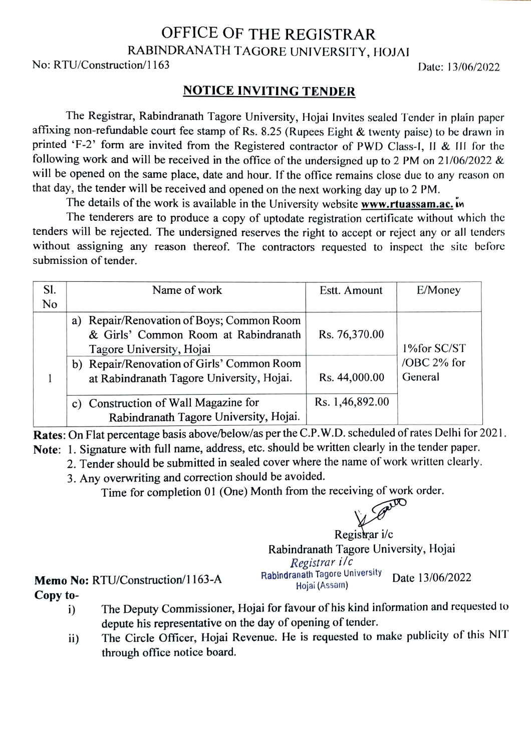## OFFICE OF THE REGISTRAR RABINDRANATH TAGORE UNIVERSITY, HOJAI

No: RTU/Construction/1163 Date: 13/06/2022

## NOTICE INVITING TENDER

The Registrar, Rabindranath Tagore University, Hojai Invites sealed Tender in plaín paper affixing non-refundable court fee stamp of Rs. 8.25 (Rupees Eight & twenty paise) to be drawn in printed 'F-2' form are invited from the Registered contractor of PWD Class-I, II & III for the following work and will be received in the office of the undersigned up to 2 PM on 21/06/2022 & will be opened on the same place, date and hour. If the office remains close due to any reason on that day, the tender will be received and opened on the next working day up to 2 PM.

The details of the work is available in the University website www.rtuassam.ac. in

The tenderers are to produce a copy of uptodate registration certificate without which the tenders will be rejected. The undersigned reserves the right to accept or reject any or all tenders without assigning any reason thereof. The contractors requested to inspect the site before submission of tender.

| SI. | Name of work                                 | Estt. Amount    | E/Money     |
|-----|----------------------------------------------|-----------------|-------------|
| No  |                                              |                 |             |
|     | Repair/Renovation of Boys; Common Room<br>a) |                 |             |
|     | & Girls' Common Room at Rabindranath         | Rs. 76,370.00   |             |
|     | Tagore University, Hojai                     |                 | 1%for SC/ST |
|     | b) Repair/Renovation of Girls' Common Room   |                 | /OBC 2% for |
|     | at Rabindranath Tagore University, Hojai.    | Rs. 44,000.00   | General     |
|     |                                              |                 |             |
|     | c) Construction of Wall Magazine for         | Rs. 1,46,892.00 |             |
|     | Rabindranath Tagore University, Hojai.       |                 |             |

Rates: On Flat percentage basis above/below/as per the C.P.W.D. scheduled of rates Delhi for 2021. Note: 1. Signature with full name, address, etc. should be written clearly in the tender paper.

- 2. Tender should be submitted in sealed cover where the name of work written clearly.
	- 3. Any overwriting and correction should be avoided.

Time for completion 01 (One) Month from the receiving of work order.



Registrar i/c Rabindranath Tagore University, Hojai Registrar i/c<br>Rabindranath Tagore University Memo No: RTU/Construction/1163-A Rabindranath Tagore University Date 13/06/2022

Copy to-

- i) The Deputy Commissioner, Hojai for favour of his kind information and requested to depute his representative on the day of opening of tender.
- ii) The Circle Officer, Hojai Revenue. He is requested to make publicity of this NIT through office notice board.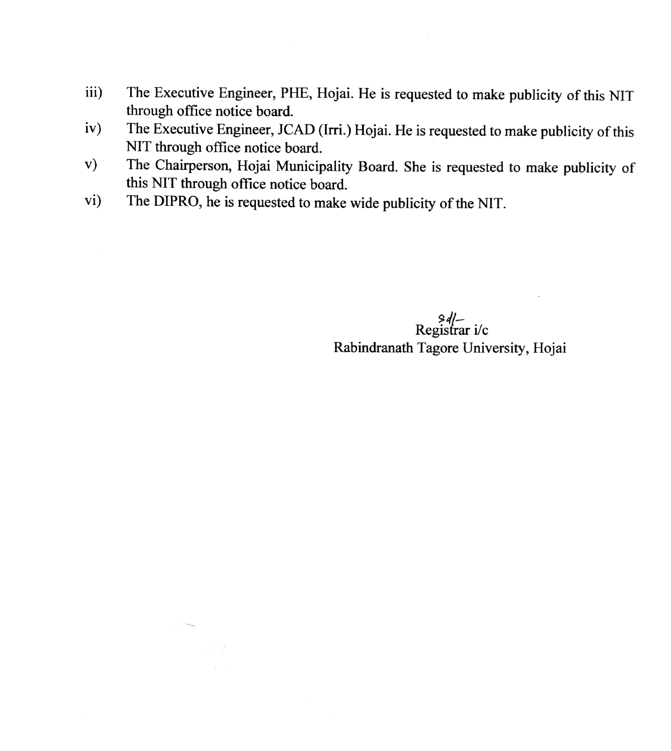- iii) The Executive Engineer, PHE, Hojai. He is requested to make publicity of this NIT through office notice board.
- iv) The Executive Engineer, JCAD (lrri.) Hojai. He is requested to make publicity of this NIT through office notice board.
- The Chairperson, Hojai Municipality Board. She is requested to make publicity of this NIT through office notice board. v)
- vi) The DIPRO, he is requested to make wide publicity of the NIT.

 $\frac{\partial \mathcal{A}}{\partial \mathcal{A}} = \frac{\partial \mathcal{A}}{\partial \mathcal{A}}$  Registrar i/c Rabindranath Tagore University, Hojai